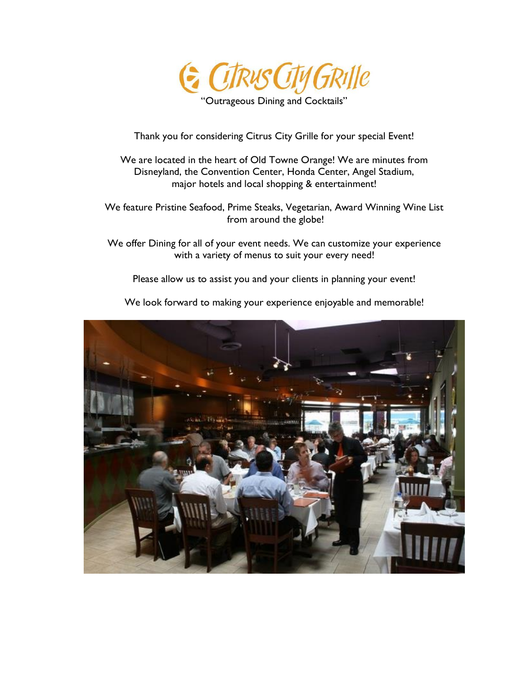

"Outrageous Dining and Cocktails"

Thank you for considering Citrus City Grille for your special Event!

We are located in the heart of Old Towne Orange! We are minutes from Disneyland, the Convention Center, Honda Center, Angel Stadium, major hotels and local shopping & entertainment!

We feature Pristine Seafood, Prime Steaks, Vegetarian, Award Winning Wine List from around the globe!

We offer Dining for all of your event needs. We can customize your experience with a variety of menus to suit your every need!

Please allow us to assist you and your clients in planning your event!



We look forward to making your experience enjoyable and memorable!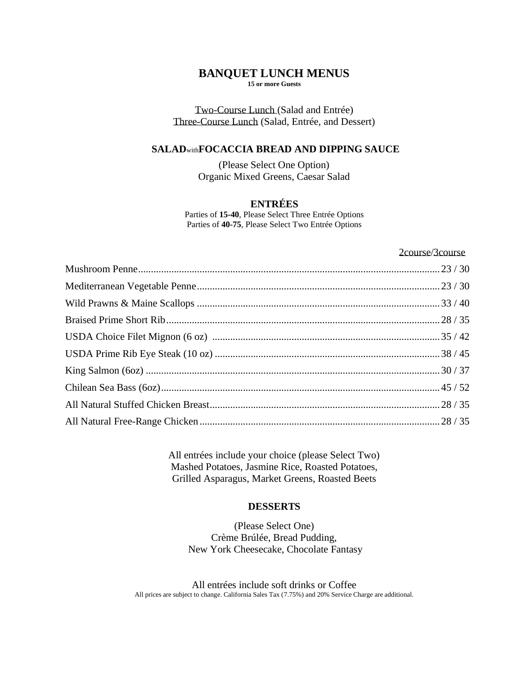### **BANQUET LUNCH MENUS 15 or more Guests**

## Two-Course Lunch (Salad and Entrée) Three-Course Lunch (Salad, Entrée, and Dessert)

### **SALAD**with**FOCACCIA BREAD AND DIPPING SAUCE**

(Please Select One Option) Organic Mixed Greens, Caesar Salad

# **ENTRÉES**

Parties of **15-40**, Please Select Three Entrée Options Parties of **40-75**, Please Select Two Entrée Options

#### 2course/3course

All entrées include your choice (please Select Two) Mashed Potatoes, Jasmine Rice, Roasted Potatoes, Grilled Asparagus, Market Greens, Roasted Beets

### **DESSERTS**

(Please Select One) Crème Brúlée, Bread Pudding, New York Cheesecake, Chocolate Fantasy

All entrées include soft drinks or Coffee All prices are subject to change. California Sales Tax (7.75%) and 20% Service Charge are additional.